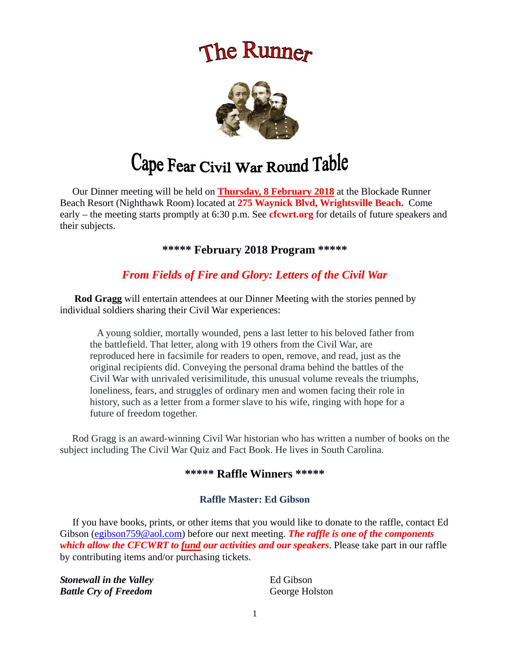# The Runner



# Cape Fear Civil War Round Table

 Our Dinner meeting will be held on **Thursday, 8 February 2018** at the Blockade Runner Beach Resort (Nighthawk Room) located at **275 Waynick Blvd, Wrightsville Beach.** Come early – the meeting starts promptly at 6:30 p.m. See **cfcwrt.org** for details of future speakers and their subjects.

**\*\*\*\*\* February 2018 Program \*\*\*\*\***

# *From Fields of Fire and Glory: Letters of the Civil War*

 **Rod Gragg** will entertain attendees at our Dinner Meeting with the stories penned by individual soldiers sharing their Civil War experiences:

 A young soldier, mortally wounded, pens a last letter to his beloved father from the battlefield. That letter, along with 19 others from the Civil War, are reproduced here in facsimile for readers to open, remove, and read, just as the original recipients did. Conveying the personal drama behind the battles of the Civil War with unrivaled verisimilitude, this unusual volume reveals the triumphs, loneliness, fears, and struggles of ordinary men and women facing their role in history, such as a letter from a former slave to his wife, ringing with hope for a future of freedom together.

 Rod Gragg is an award-winning Civil War historian who has written a number of books on the subject including The Civil War Quiz and Fact Book. He lives in South Carolina.

## **\*\*\*\*\* Raffle Winners \*\*\*\*\***

#### **Raffle Master: Ed Gibson**

If you have books, prints, or other items that you would like to donate to the raffle, contact Ed Gibson ([egibson759@aol.com](mailto:egibson759@aol.com)) before our next meeting. **The raffle is one of the components** *which allow the CFCWRT to fund our activities and our speakers*. Please take part in our raffle by contributing items and/or purchasing tickets.

**Stonewall in the Valley Constant Constant Constant Constant Constant Constant Constant Constant Constant Constant Constant Constant Constant Constant Constant Constant Constant Constant Constant Constant Constant Consta** *Battle Cry of Freedom* George Holston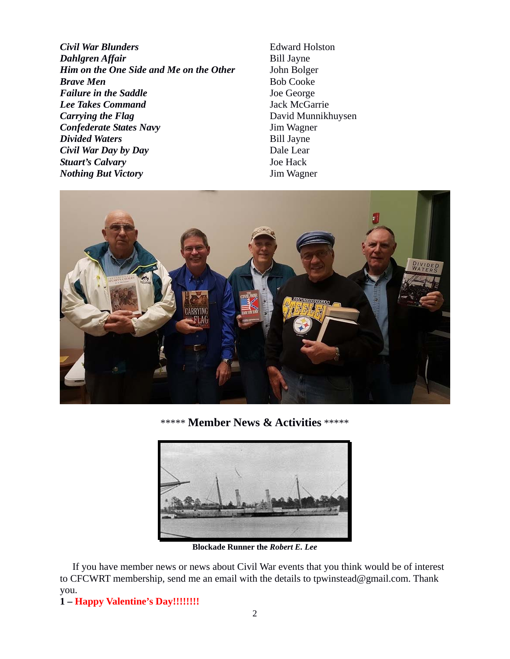*Civil War Blunders* Edward Holston *Dahlgren Affair* Bill Jayne *Him on the One Side and Me on the Other* John Bolger **Brave Men** Bob Cooke **Failure in the Saddle** Joe George *Lee Takes Command* Jack McGarrie *Carrying the Flag* David Munnikhuysen *Confederate States Navy* Jim Wagner *Divided Waters* Bill Jayne *Civil War Day by Day* Dale Lear **Stuart's Calvary** Joe Hack *Nothing But Victory* Jim Wagner



\*\*\*\*\* **Member News & Activities** \*\*\*\*\*



**Blockade Runner the** *Robert E. Lee*

 If you have member news or news about Civil War events that you think would be of interest to CFCWRT membership, send me an email with the details to tpwinstead@gmail.com. Thank you.

**1 – Happy Valentine's Day!!!!!!!!**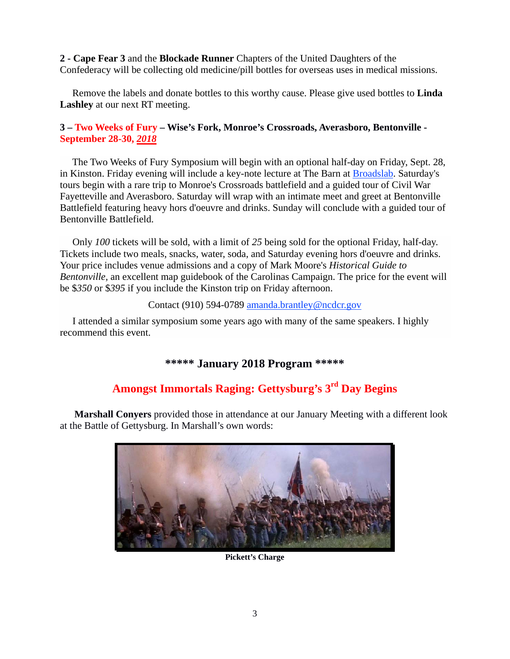**2 - Cape Fear 3** and the **Blockade Runner** Chapters of the United Daughters of the Confederacy will be collecting old medicine/pill bottles for overseas uses in medical missions.

 Remove the labels and donate bottles to this worthy cause. Please give used bottles to **Linda Lashley** at our next RT meeting.

## **3 – Two Weeks of Fury – Wise's Fork, Monroe's Crossroads, Averasboro, Bentonville - September 28-30,** *2018*

 The Two Weeks of Fury Symposium will begin with an optional half-day on Friday, Sept. 28, in Kinston. Friday evening will include a key-note lecture at The Barn at [Broadslab](http://www.broadslabdistillery.com/). Saturday's tours begin with a rare trip to Monroe's Crossroads battlefield and a guided tour of Civil War Fayetteville and Averasboro. Saturday will wrap with an intimate meet and greet at Bentonville Battlefield featuring heavy hors d'oeuvre and drinks. Sunday will conclude with a guided tour of Bentonville Battlefield.

 Only *100* tickets will be sold, with a limit of *25* being sold for the optional Friday, half-day. Tickets include two meals, snacks, water, soda, and Saturday evening hors d'oeuvre and drinks. Your price includes venue admissions and a copy of Mark Moore's *Historical Guide to Bentonville,* an excellent map guidebook of the Carolinas Campaign. The price for the event will be \$*350* or \$*395* if you include the Kinston trip on Friday afternoon.

#### Contact (910) 594-0789 [amanda.brantley@ncdcr.gov](mailto:amanda.brantley@ncdcr.gov?subject=Symposium%20&%20Tour)

 I attended a similar symposium some years ago with many of the same speakers. I highly recommend this event.

## **\*\*\*\*\* January 2018 Program \*\*\*\*\***

# **Amongst Immortals Raging: Gettysburg's 3rd Day Begins**

 **Marshall Conyers** provided those in attendance at our January Meeting with a different look at the Battle of Gettysburg. In Marshall's own words:



**Pickett's Charge**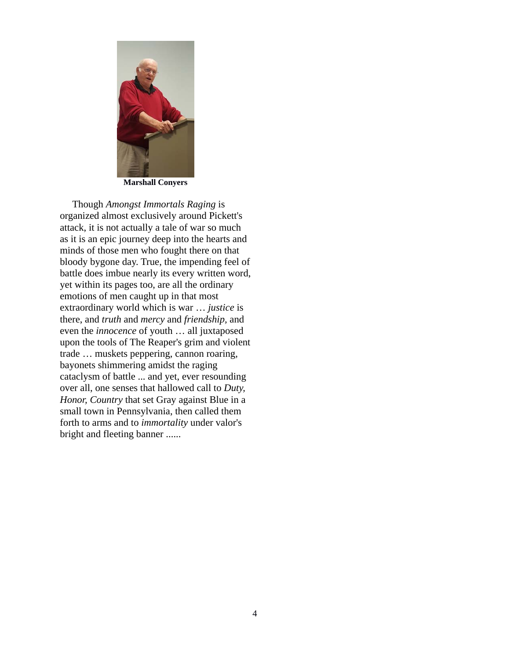

**Marshall Conyers**

 Though *Amongst Immortals Raging* is organized almost exclusively around Pickett's attack, it is not actually a tale of war so much as it is an epic journey deep into the hearts and minds of those men who fought there on that bloody bygone day. True, the impending feel of battle does imbue nearly its every written word, yet within its pages too, are all the ordinary emotions of men caught up in that most extraordinary world which is war … *justice* is there, and *truth* and *mercy* and *friendship,* and even the *innocence* of youth … all juxtaposed upon the tools of The Reaper's grim and violent trade … muskets peppering, cannon roaring, bayonets shimmering amidst the raging cataclysm of battle ... and yet, ever resounding over all, one senses that hallowed call to *Duty, Honor, Country* that set Gray against Blue in a small town in Pennsylvania, then called them forth to arms and to *immortality* under valor's bright and fleeting banner ......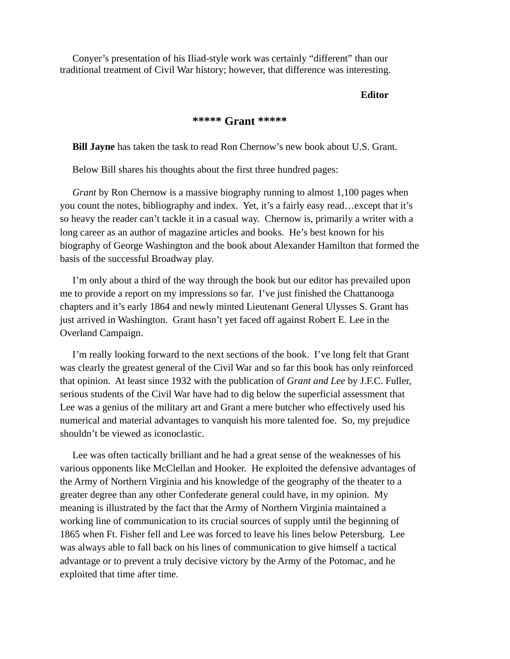Conyer's presentation of his Iliad-style work was certainly "different" than our traditional treatment of Civil War history; however, that difference was interesting.

## *Editor*

#### **\*\*\*\*\* Grant \*\*\*\*\***

 **Bill Jayne** has taken the task to read Ron Chernow's new book about U.S. Grant.

Below Bill shares his thoughts about the first three hundred pages:

 *Grant* by Ron Chernow is a massive biography running to almost 1,100 pages when you count the notes, bibliography and index. Yet, it's a fairly easy read…except that it's so heavy the reader can't tackle it in a casual way. Chernow is, primarily a writer with a long career as an author of magazine articles and books. He's best known for his biography of George Washington and the book about Alexander Hamilton that formed the basis of the successful Broadway play.

 I'm only about a third of the way through the book but our editor has prevailed upon me to provide a report on my impressions so far. I've just finished the Chattanooga chapters and it's early 1864 and newly minted Lieutenant General Ulysses S. Grant has just arrived in Washington. Grant hasn't yet faced off against Robert E. Lee in the Overland Campaign.

 I'm really looking forward to the next sections of the book. I've long felt that Grant was clearly the greatest general of the Civil War and so far this book has only reinforced that opinion. At least since 1932 with the publication of *Grant and Lee* by J.F.C. Fuller, serious students of the Civil War have had to dig below the superficial assessment that Lee was a genius of the military art and Grant a mere butcher who effectively used his numerical and material advantages to vanquish his more talented foe. So, my prejudice shouldn't be viewed as iconoclastic.

 Lee was often tactically brilliant and he had a great sense of the weaknesses of his various opponents like McClellan and Hooker. He exploited the defensive advantages of the Army of Northern Virginia and his knowledge of the geography of the theater to a greater degree than any other Confederate general could have, in my opinion. My meaning is illustrated by the fact that the Army of Northern Virginia maintained a working line of communication to its crucial sources of supply until the beginning of 1865 when Ft. Fisher fell and Lee was forced to leave his lines below Petersburg. Lee was always able to fall back on his lines of communication to give himself a tactical advantage or to prevent a truly decisive victory by the Army of the Potomac, and he exploited that time after time.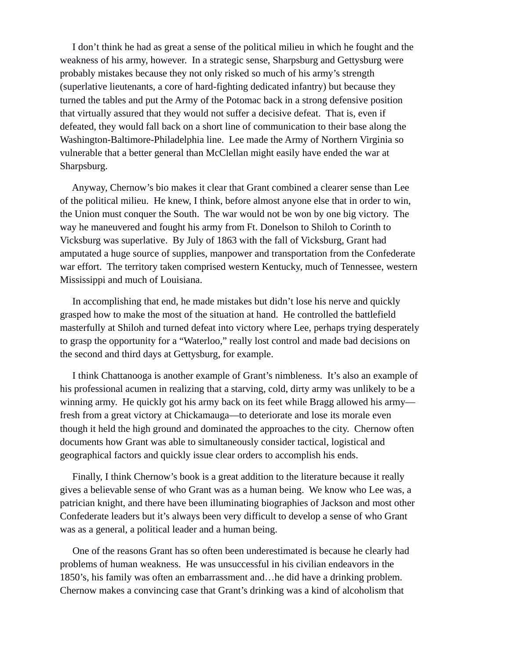I don't think he had as great a sense of the political milieu in which he fought and the weakness of his army, however. In a strategic sense, Sharpsburg and Gettysburg were probably mistakes because they not only risked so much of his army's strength (superlative lieutenants, a core of hard-fighting dedicated infantry) but because they turned the tables and put the Army of the Potomac back in a strong defensive position that virtually assured that they would not suffer a decisive defeat. That is, even if defeated, they would fall back on a short line of communication to their base along the Washington-Baltimore-Philadelphia line. Lee made the Army of Northern Virginia so vulnerable that a better general than McClellan might easily have ended the war at Sharpsburg.

 Anyway, Chernow's bio makes it clear that Grant combined a clearer sense than Lee of the political milieu. He knew, I think, before almost anyone else that in order to win, the Union must conquer the South. The war would not be won by one big victory. The way he maneuvered and fought his army from Ft. Donelson to Shiloh to Corinth to Vicksburg was superlative. By July of 1863 with the fall of Vicksburg, Grant had amputated a huge source of supplies, manpower and transportation from the Confederate war effort. The territory taken comprised western Kentucky, much of Tennessee, western Mississippi and much of Louisiana.

 In accomplishing that end, he made mistakes but didn't lose his nerve and quickly grasped how to make the most of the situation at hand. He controlled the battlefield masterfully at Shiloh and turned defeat into victory where Lee, perhaps trying desperately to grasp the opportunity for a "Waterloo," really lost control and made bad decisions on the second and third days at Gettysburg, for example.

 I think Chattanooga is another example of Grant's nimbleness. It's also an example of his professional acumen in realizing that a starving, cold, dirty army was unlikely to be a winning army. He quickly got his army back on its feet while Bragg allowed his army fresh from a great victory at Chickamauga—to deteriorate and lose its morale even though it held the high ground and dominated the approaches to the city. Chernow often documents how Grant was able to simultaneously consider tactical, logistical and geographical factors and quickly issue clear orders to accomplish his ends.

 Finally, I think Chernow's book is a great addition to the literature because it really gives a believable sense of who Grant was as a human being. We know who Lee was, a patrician knight, and there have been illuminating biographies of Jackson and most other Confederate leaders but it's always been very difficult to develop a sense of who Grant was as a general, a political leader and a human being.

 One of the reasons Grant has so often been underestimated is because he clearly had problems of human weakness. He was unsuccessful in his civilian endeavors in the 1850's, his family was often an embarrassment and…he did have a drinking problem. Chernow makes a convincing case that Grant's drinking was a kind of alcoholism that